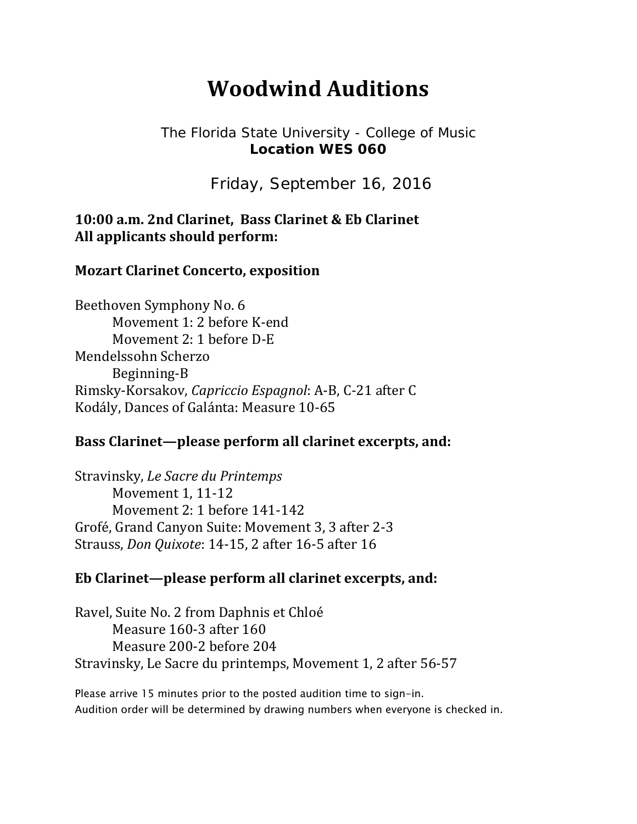# **Woodwind Auditions**

### The Florida State University - College of Music **Location WES 060**

Friday, September 16, 2016

## **10:00 a.m. 2nd Clarinet, Bass Clarinet & Eb Clarinet All applicants should perform:**

### **Mozart Clarinet Concerto, exposition**

Beethoven Symphony No. 6 Movement 1: 2 before K-end Movement 2: 1 before D-E Mendelssohn Scherzo Beginning‐B Rimsky‐Korsakov, *Capriccio Espagnol*: A‐B, C‐21 after C Kodály, Dances of Galánta: Measure 10-65

## **Bass Clarinet—please perform all clarinet excerpts, and:**

Stravinsky, *Le Sacre du Printemps* Movement 1, 11-12 Movement 2: 1 before 141-142 Grofé, Grand Canyon Suite: Movement 3, 3 after 2-3 Strauss, *Don Quixote*: 14-15, 2 after 16-5 after 16

#### **Eb Clarinet—please perform all clarinet excerpts, and:**

Ravel, Suite No. 2 from Daphnis et Chloé Measure 160-3 after 160 Measure 200-2 before 204 Stravinsky, Le Sacre du printemps, Movement 1, 2 after 56-57

Please arrive 15 minutes prior to the posted audition time to sign-in. Audition order will be determined by drawing numbers when everyone is checked in.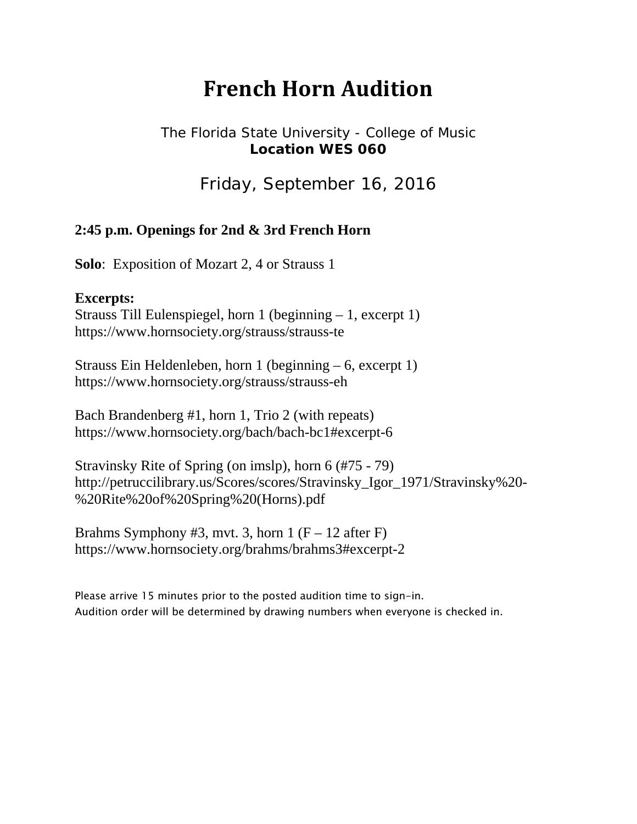# **French Horn Audition**

## The Florida State University - College of Music **Location WES 060**

Friday, September 16, 2016

### **2:45 p.m. Openings for 2nd & 3rd French Horn**

**Solo**: Exposition of Mozart 2, 4 or Strauss 1

#### **Excerpts:**

Strauss Till Eulenspiegel, horn 1 (beginning – 1, excerpt 1) https://www.hornsociety.org/strauss/strauss-te

Strauss Ein Heldenleben, horn 1 (beginning – 6, excerpt 1) https://www.hornsociety.org/strauss/strauss-eh

Bach Brandenberg #1, horn 1, Trio 2 (with repeats) https://www.hornsociety.org/bach/bach-bc1#excerpt-6

Stravinsky Rite of Spring (on imslp), horn 6 (#75 - 79) http://petruccilibrary.us/Scores/scores/Stravinsky\_Igor\_1971/Stravinsky%20- %20Rite%20of%20Spring%20(Horns).pdf

Brahms Symphony #3, mvt. 3, horn  $1 (F - 12$  after F) https://www.hornsociety.org/brahms/brahms3#excerpt-2

Please arrive 15 minutes prior to the posted audition time to sign-in. Audition order will be determined by drawing numbers when everyone is checked in.